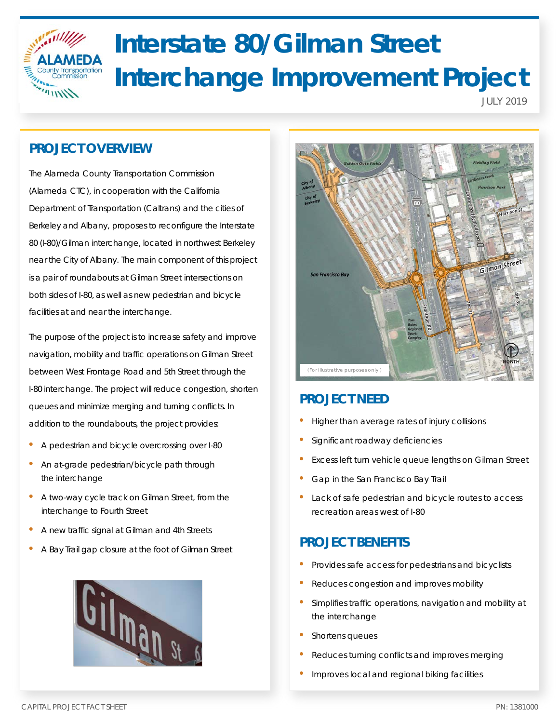

# **Interstate 80/Gilman Street Interchange Improvement Project**

JULY 2019

# **PROJECT OVERVIEW**

The Alameda County Transportation Commission (Alameda CTC), in cooperation with the California Department of Transportation (Caltrans) and the cities of Berkeley and Albany, proposes to reconfigure the Interstate 80 (I-80)/Gilman interchange, located in northwest Berkeley near the City of Albany. The main component of this project is a pair of roundabouts at Gilman Street intersections on both sides of I-80, as well as new pedestrian and bicycle facilities at and near the interchange.

The purpose of the project is to increase safety and improve navigation, mobility and traffic operations on Gilman Street between West Frontage Road and 5th Street through the I-80 interchange. The project will reduce congestion, shorten queues and minimize merging and turning conflicts. In addition to the roundabouts, the project provides:

- A pedestrian and bicycle overcrossing over I-80
- An at-grade pedestrian/bicycle path through the interchange
- A two-way cycle track on Gilman Street, from the interchange to Fourth Street
- A new traffic signal at Gilman and 4th Streets
- A Bay Trail gap closure at the foot of Gilman Street





# **PROJECT NEED**

- Higher than average rates of injury collisions
- Significant roadway deficiencies
- Excess left turn vehicle queue lengths on Gilman Street
- Gap in the San Francisco Bay Trail
- Lack of safe pedestrian and bicycle routes to access recreation areas west of I-80

# **PROJECT BENEFITS**

- Provides safe access for pedestrians and bicyclists
- Reduces congestion and improves mobility
- Simplifies traffic operations, navigation and mobility at the interchange
- Shortens queues
- Reduces turning conflicts and improves merging
- Improves local and regional biking facilities